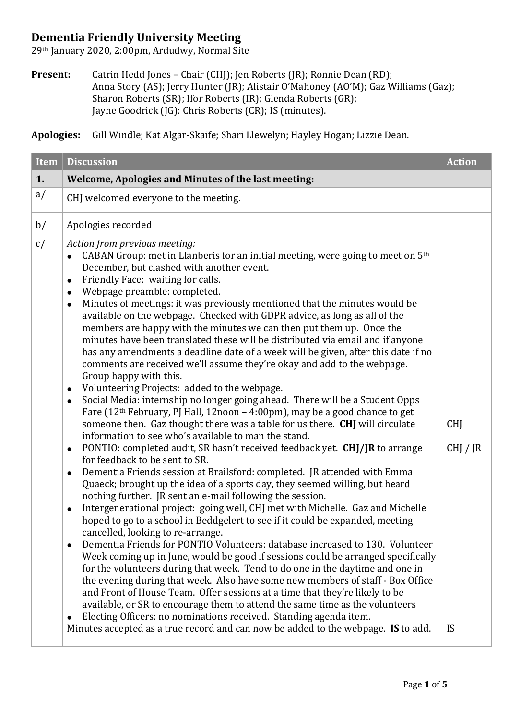## **Dementia Friendly University Meeting**

29th January 2020, 2:00pm, Ardudwy, Normal Site

**Present:** Catrin Hedd Jones – Chair (CHJ); Jen Roberts (JR); Ronnie Dean (RD); Anna Story (AS); Jerry Hunter (JR); Alistair O'Mahoney (AO'M); Gaz Williams (Gaz); Sharon Roberts (SR); Ifor Roberts (IR); Glenda Roberts (GR); Jayne Goodrick (JG): Chris Roberts (CR); IS (minutes).

**Apologies:** Gill Windle; Kat Algar-Skaife; Shari Llewelyn; Hayley Hogan; Lizzie Dean.

| <b>Item</b> | <b>Discussion</b>                                                                                                                                                                                                                                                                                                                                                                                                                                                                                                                                                                                                                                                                                                                                                                                                                                                                                                                                                                                                                                                                                                                                                                                                                                                                                                                                                                                                                                                                                                                                                                                                                                                                                                                                                                                                                                                                                                                                                                                                                                                                                                                                                                                                                                                                                                                                                                                                                   | <b>Action</b>                       |
|-------------|-------------------------------------------------------------------------------------------------------------------------------------------------------------------------------------------------------------------------------------------------------------------------------------------------------------------------------------------------------------------------------------------------------------------------------------------------------------------------------------------------------------------------------------------------------------------------------------------------------------------------------------------------------------------------------------------------------------------------------------------------------------------------------------------------------------------------------------------------------------------------------------------------------------------------------------------------------------------------------------------------------------------------------------------------------------------------------------------------------------------------------------------------------------------------------------------------------------------------------------------------------------------------------------------------------------------------------------------------------------------------------------------------------------------------------------------------------------------------------------------------------------------------------------------------------------------------------------------------------------------------------------------------------------------------------------------------------------------------------------------------------------------------------------------------------------------------------------------------------------------------------------------------------------------------------------------------------------------------------------------------------------------------------------------------------------------------------------------------------------------------------------------------------------------------------------------------------------------------------------------------------------------------------------------------------------------------------------------------------------------------------------------------------------------------------------|-------------------------------------|
| 1.          | Welcome, Apologies and Minutes of the last meeting:                                                                                                                                                                                                                                                                                                                                                                                                                                                                                                                                                                                                                                                                                                                                                                                                                                                                                                                                                                                                                                                                                                                                                                                                                                                                                                                                                                                                                                                                                                                                                                                                                                                                                                                                                                                                                                                                                                                                                                                                                                                                                                                                                                                                                                                                                                                                                                                 |                                     |
| a/          | CHJ welcomed everyone to the meeting.                                                                                                                                                                                                                                                                                                                                                                                                                                                                                                                                                                                                                                                                                                                                                                                                                                                                                                                                                                                                                                                                                                                                                                                                                                                                                                                                                                                                                                                                                                                                                                                                                                                                                                                                                                                                                                                                                                                                                                                                                                                                                                                                                                                                                                                                                                                                                                                               |                                     |
| b/          | Apologies recorded                                                                                                                                                                                                                                                                                                                                                                                                                                                                                                                                                                                                                                                                                                                                                                                                                                                                                                                                                                                                                                                                                                                                                                                                                                                                                                                                                                                                                                                                                                                                                                                                                                                                                                                                                                                                                                                                                                                                                                                                                                                                                                                                                                                                                                                                                                                                                                                                                  |                                     |
| c/          | Action from previous meeting:<br>CABAN Group: met in Llanberis for an initial meeting, were going to meet on 5 <sup>th</sup><br>December, but clashed with another event.<br>Friendly Face: waiting for calls.<br>$\bullet$<br>Webpage preamble: completed.<br>$\bullet$<br>Minutes of meetings: it was previously mentioned that the minutes would be<br>$\bullet$<br>available on the webpage. Checked with GDPR advice, as long as all of the<br>members are happy with the minutes we can then put them up. Once the<br>minutes have been translated these will be distributed via email and if anyone<br>has any amendments a deadline date of a week will be given, after this date if no<br>comments are received we'll assume they're okay and add to the webpage.<br>Group happy with this.<br>Volunteering Projects: added to the webpage.<br>$\bullet$<br>Social Media: internship no longer going ahead. There will be a Student Opps<br>$\bullet$<br>Fare $(12th February, PJ Hall, 12noon - 4:00pm)$ , may be a good chance to get<br>someone then. Gaz thought there was a table for us there. CHJ will circulate<br>information to see who's available to man the stand.<br>PONTIO: completed audit, SR hasn't received feedback yet. CHJ/JR to arrange<br>$\bullet$<br>for feedback to be sent to SR.<br>Dementia Friends session at Brailsford: completed. JR attended with Emma<br>$\bullet$<br>Quaeck; brought up the idea of a sports day, they seemed willing, but heard<br>nothing further. JR sent an e-mail following the session.<br>Intergenerational project: going well, CHJ met with Michelle. Gaz and Michelle<br>hoped to go to a school in Beddgelert to see if it could be expanded, meeting<br>cancelled, looking to re-arrange.<br>Dementia Friends for PONTIO Volunteers: database increased to 130. Volunteer<br>Week coming up in June, would be good if sessions could be arranged specifically<br>for the volunteers during that week. Tend to do one in the daytime and one in<br>the evening during that week. Also have some new members of staff - Box Office<br>and Front of House Team. Offer sessions at a time that they're likely to be<br>available, or SR to encourage them to attend the same time as the volunteers<br>Electing Officers: no nominations received. Standing agenda item.<br>Minutes accepted as a true record and can now be added to the webpage. IS to add. | <b>CHI</b><br>CHJ / JR<br><b>IS</b> |
|             |                                                                                                                                                                                                                                                                                                                                                                                                                                                                                                                                                                                                                                                                                                                                                                                                                                                                                                                                                                                                                                                                                                                                                                                                                                                                                                                                                                                                                                                                                                                                                                                                                                                                                                                                                                                                                                                                                                                                                                                                                                                                                                                                                                                                                                                                                                                                                                                                                                     |                                     |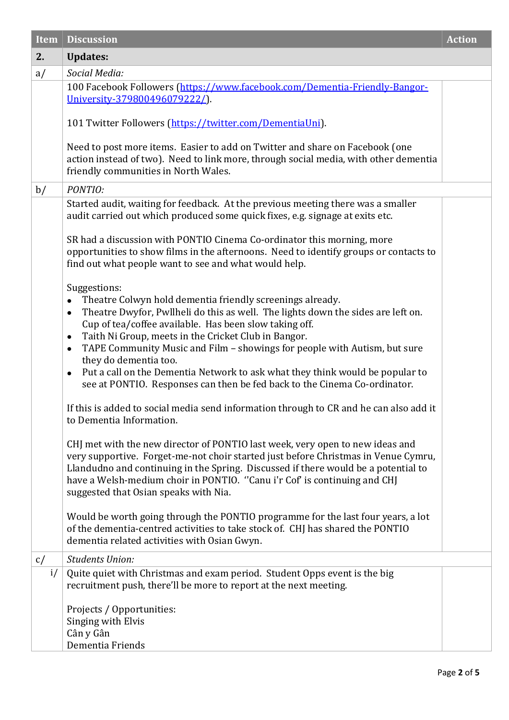| <b>Item</b> | <b>Discussion</b>                                                                                                                                                                                                                                                                                                                                                                                                                                                                                                                                                                                                    | <b>Action</b> |
|-------------|----------------------------------------------------------------------------------------------------------------------------------------------------------------------------------------------------------------------------------------------------------------------------------------------------------------------------------------------------------------------------------------------------------------------------------------------------------------------------------------------------------------------------------------------------------------------------------------------------------------------|---------------|
| 2.          | <b>Updates:</b>                                                                                                                                                                                                                                                                                                                                                                                                                                                                                                                                                                                                      |               |
| a/          | Social Media:                                                                                                                                                                                                                                                                                                                                                                                                                                                                                                                                                                                                        |               |
|             | 100 Facebook Followers (https://www.facebook.com/Dementia-Friendly-Bangor-<br>University-379800496079222/).                                                                                                                                                                                                                                                                                                                                                                                                                                                                                                          |               |
|             | 101 Twitter Followers (https://twitter.com/DementiaUni).                                                                                                                                                                                                                                                                                                                                                                                                                                                                                                                                                             |               |
|             | Need to post more items. Easier to add on Twitter and share on Facebook (one<br>action instead of two). Need to link more, through social media, with other dementia<br>friendly communities in North Wales.                                                                                                                                                                                                                                                                                                                                                                                                         |               |
| b/          | PONTIO:                                                                                                                                                                                                                                                                                                                                                                                                                                                                                                                                                                                                              |               |
|             | Started audit, waiting for feedback. At the previous meeting there was a smaller<br>audit carried out which produced some quick fixes, e.g. signage at exits etc.                                                                                                                                                                                                                                                                                                                                                                                                                                                    |               |
|             | SR had a discussion with PONTIO Cinema Co-ordinator this morning, more<br>opportunities to show films in the afternoons. Need to identify groups or contacts to<br>find out what people want to see and what would help.                                                                                                                                                                                                                                                                                                                                                                                             |               |
|             | Suggestions:<br>Theatre Colwyn hold dementia friendly screenings already.<br>$\bullet$<br>Theatre Dwyfor, Pwllheli do this as well. The lights down the sides are left on.<br>$\bullet$<br>Cup of tea/coffee available. Has been slow taking off.<br>Taith Ni Group, meets in the Cricket Club in Bangor.<br>$\bullet$<br>TAPE Community Music and Film - showings for people with Autism, but sure<br>$\bullet$<br>they do dementia too.<br>Put a call on the Dementia Network to ask what they think would be popular to<br>$\bullet$<br>see at PONTIO. Responses can then be fed back to the Cinema Co-ordinator. |               |
|             | If this is added to social media send information through to CR and he can also add it<br>to Dementia Information.                                                                                                                                                                                                                                                                                                                                                                                                                                                                                                   |               |
|             | CHJ met with the new director of PONTIO last week, very open to new ideas and<br>very supportive. Forget-me-not choir started just before Christmas in Venue Cymru,<br>Llandudno and continuing in the Spring. Discussed if there would be a potential to<br>have a Welsh-medium choir in PONTIO. "Canu i'r Cof' is continuing and CHJ<br>suggested that Osian speaks with Nia.                                                                                                                                                                                                                                      |               |
|             | Would be worth going through the PONTIO programme for the last four years, a lot<br>of the dementia-centred activities to take stock of. CHJ has shared the PONTIO<br>dementia related activities with Osian Gwyn.                                                                                                                                                                                                                                                                                                                                                                                                   |               |
| c/          | <b>Students Union:</b>                                                                                                                                                                                                                                                                                                                                                                                                                                                                                                                                                                                               |               |
| i/          | Quite quiet with Christmas and exam period. Student Opps event is the big<br>recruitment push, there'll be more to report at the next meeting.                                                                                                                                                                                                                                                                                                                                                                                                                                                                       |               |
|             | Projects / Opportunities:<br>Singing with Elvis<br>Cân y Gân<br>Dementia Friends                                                                                                                                                                                                                                                                                                                                                                                                                                                                                                                                     |               |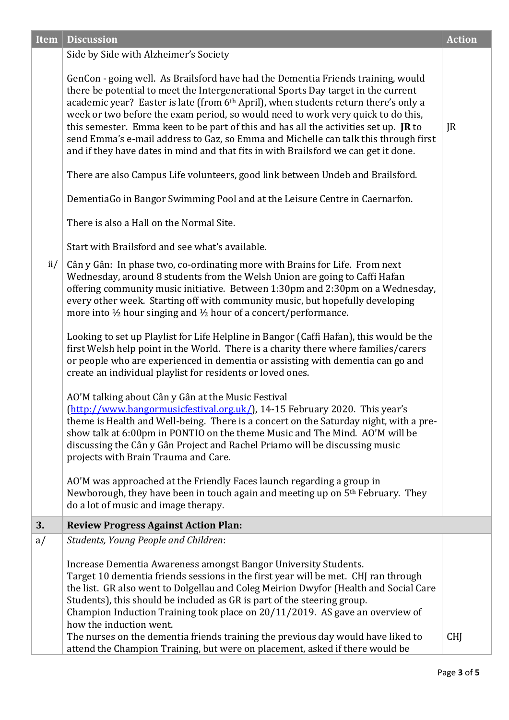| <b>Item</b> | <b>Discussion</b>                                                                                                                                                                                                                                                                                                                                                                                                                                                                                                                                                                                                                                                                                                                                                                                                                                                                                                                                                                                                                                                                                                                                                                                                                                                                                                                                                                                          | <b>Action</b>       |
|-------------|------------------------------------------------------------------------------------------------------------------------------------------------------------------------------------------------------------------------------------------------------------------------------------------------------------------------------------------------------------------------------------------------------------------------------------------------------------------------------------------------------------------------------------------------------------------------------------------------------------------------------------------------------------------------------------------------------------------------------------------------------------------------------------------------------------------------------------------------------------------------------------------------------------------------------------------------------------------------------------------------------------------------------------------------------------------------------------------------------------------------------------------------------------------------------------------------------------------------------------------------------------------------------------------------------------------------------------------------------------------------------------------------------------|---------------------|
|             | Side by Side with Alzheimer's Society                                                                                                                                                                                                                                                                                                                                                                                                                                                                                                                                                                                                                                                                                                                                                                                                                                                                                                                                                                                                                                                                                                                                                                                                                                                                                                                                                                      |                     |
|             | GenCon - going well. As Brailsford have had the Dementia Friends training, would<br>there be potential to meet the Intergenerational Sports Day target in the current<br>academic year? Easter is late (from 6th April), when students return there's only a<br>week or two before the exam period, so would need to work very quick to do this,<br>this semester. Emma keen to be part of this and has all the activities set up. JR to<br>send Emma's e-mail address to Gaz, so Emma and Michelle can talk this through first<br>and if they have dates in mind and that fits in with Brailsford we can get it done.<br>There are also Campus Life volunteers, good link between Undeb and Brailsford.<br>DementiaGo in Bangor Swimming Pool and at the Leisure Centre in Caernarfon.<br>There is also a Hall on the Normal Site.                                                                                                                                                                                                                                                                                                                                                                                                                                                                                                                                                                        | $\overline{\rm IR}$ |
|             | Start with Brailsford and see what's available.                                                                                                                                                                                                                                                                                                                                                                                                                                                                                                                                                                                                                                                                                                                                                                                                                                                                                                                                                                                                                                                                                                                                                                                                                                                                                                                                                            |                     |
| ii/         | Cân y Gân: In phase two, co-ordinating more with Brains for Life. From next<br>Wednesday, around 8 students from the Welsh Union are going to Caffi Hafan<br>offering community music initiative. Between 1:30pm and 2:30pm on a Wednesday,<br>every other week. Starting off with community music, but hopefully developing<br>more into $\frac{1}{2}$ hour singing and $\frac{1}{2}$ hour of a concert/performance.<br>Looking to set up Playlist for Life Helpline in Bangor (Caffi Hafan), this would be the<br>first Welsh help point in the World. There is a charity there where families/carers<br>or people who are experienced in dementia or assisting with dementia can go and<br>create an individual playlist for residents or loved ones.<br>AO'M talking about Cân y Gân at the Music Festival<br>(http://www.bangormusicfestival.org.uk/), 14-15 February 2020. This year's<br>theme is Health and Well-being. There is a concert on the Saturday night, with a pre-<br>show talk at 6:00pm in PONTIO on the theme Music and The Mind. AO'M will be<br>discussing the Cân y Gân Project and Rachel Priamo will be discussing music<br>projects with Brain Trauma and Care.<br>AO'M was approached at the Friendly Faces launch regarding a group in<br>Newborough, they have been in touch again and meeting up on 5 <sup>th</sup> February. They<br>do a lot of music and image therapy. |                     |
| 3.          | <b>Review Progress Against Action Plan:</b>                                                                                                                                                                                                                                                                                                                                                                                                                                                                                                                                                                                                                                                                                                                                                                                                                                                                                                                                                                                                                                                                                                                                                                                                                                                                                                                                                                |                     |
| a/          | Students, Young People and Children:                                                                                                                                                                                                                                                                                                                                                                                                                                                                                                                                                                                                                                                                                                                                                                                                                                                                                                                                                                                                                                                                                                                                                                                                                                                                                                                                                                       |                     |
|             | Increase Dementia Awareness amongst Bangor University Students.<br>Target 10 dementia friends sessions in the first year will be met. CHJ ran through<br>the list. GR also went to Dolgellau and Coleg Meirion Dwyfor (Health and Social Care<br>Students), this should be included as GR is part of the steering group.<br>Champion Induction Training took place on 20/11/2019. AS gave an overview of<br>how the induction went.<br>The nurses on the dementia friends training the previous day would have liked to<br>attend the Champion Training, but were on placement, asked if there would be                                                                                                                                                                                                                                                                                                                                                                                                                                                                                                                                                                                                                                                                                                                                                                                                    | <b>CHI</b>          |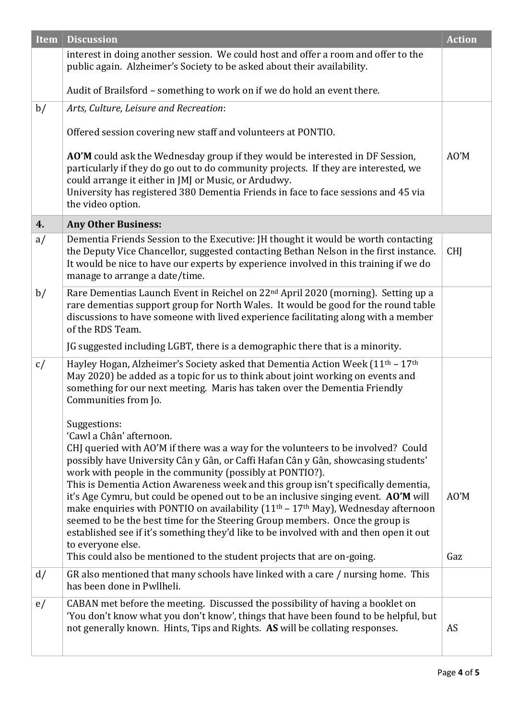| <b>Item</b> | <b>Discussion</b>                                                                                                                                                                                                                                                                                                                                                                                                                                            | <b>Action</b> |
|-------------|--------------------------------------------------------------------------------------------------------------------------------------------------------------------------------------------------------------------------------------------------------------------------------------------------------------------------------------------------------------------------------------------------------------------------------------------------------------|---------------|
|             | interest in doing another session. We could host and offer a room and offer to the<br>public again. Alzheimer's Society to be asked about their availability.                                                                                                                                                                                                                                                                                                |               |
|             | Audit of Brailsford - something to work on if we do hold an event there.                                                                                                                                                                                                                                                                                                                                                                                     |               |
| b/          | Arts, Culture, Leisure and Recreation:                                                                                                                                                                                                                                                                                                                                                                                                                       |               |
|             | Offered session covering new staff and volunteers at PONTIO.                                                                                                                                                                                                                                                                                                                                                                                                 |               |
|             | AO'M could ask the Wednesday group if they would be interested in DF Session,<br>particularly if they do go out to do community projects. If they are interested, we<br>could arrange it either in JMJ or Music, or Ardudwy.<br>University has registered 380 Dementia Friends in face to face sessions and 45 via<br>the video option.                                                                                                                      | AO'M          |
| 4.          | <b>Any Other Business:</b>                                                                                                                                                                                                                                                                                                                                                                                                                                   |               |
| a/          | Dementia Friends Session to the Executive: JH thought it would be worth contacting<br>the Deputy Vice Chancellor, suggested contacting Bethan Nelson in the first instance.<br>It would be nice to have our experts by experience involved in this training if we do<br>manage to arrange a date/time.                                                                                                                                                       | <b>CHI</b>    |
| b/          | Rare Dementias Launch Event in Reichel on 22 <sup>nd</sup> April 2020 (morning). Setting up a<br>rare dementias support group for North Wales. It would be good for the round table<br>discussions to have someone with lived experience facilitating along with a member<br>of the RDS Team.                                                                                                                                                                |               |
|             | JG suggested including LGBT, there is a demographic there that is a minority.                                                                                                                                                                                                                                                                                                                                                                                |               |
| c/          | Hayley Hogan, Alzheimer's Society asked that Dementia Action Week (11 <sup>th</sup> - 17 <sup>th</sup><br>May 2020) be added as a topic for us to think about joint working on events and<br>something for our next meeting. Maris has taken over the Dementia Friendly<br>Communities from Jo.                                                                                                                                                              |               |
|             | Suggestions:<br>'Cawl a Chân' afternoon.<br>CHJ queried with AO'M if there was a way for the volunteers to be involved? Could<br>possibly have University Cân y Gân, or Caffi Hafan Cân y Gân, showcasing students'<br>work with people in the community (possibly at PONTIO?).<br>This is Dementia Action Awareness week and this group isn't specifically dementia,<br>it's Age Cymru, but could be opened out to be an inclusive singing event. AO'M will | AO'M          |
|             | make enquiries with PONTIO on availability (11 <sup>th</sup> - 17 <sup>th</sup> May), Wednesday afternoon<br>seemed to be the best time for the Steering Group members. Once the group is<br>established see if it's something they'd like to be involved with and then open it out<br>to everyone else.<br>This could also be mentioned to the student projects that are on-going.                                                                          | Gaz           |
| d/          | GR also mentioned that many schools have linked with a care / nursing home. This<br>has been done in Pwllheli.                                                                                                                                                                                                                                                                                                                                               |               |
| e/          | CABAN met before the meeting. Discussed the possibility of having a booklet on<br>'You don't know what you don't know', things that have been found to be helpful, but<br>not generally known. Hints, Tips and Rights. AS will be collating responses.                                                                                                                                                                                                       | AS            |